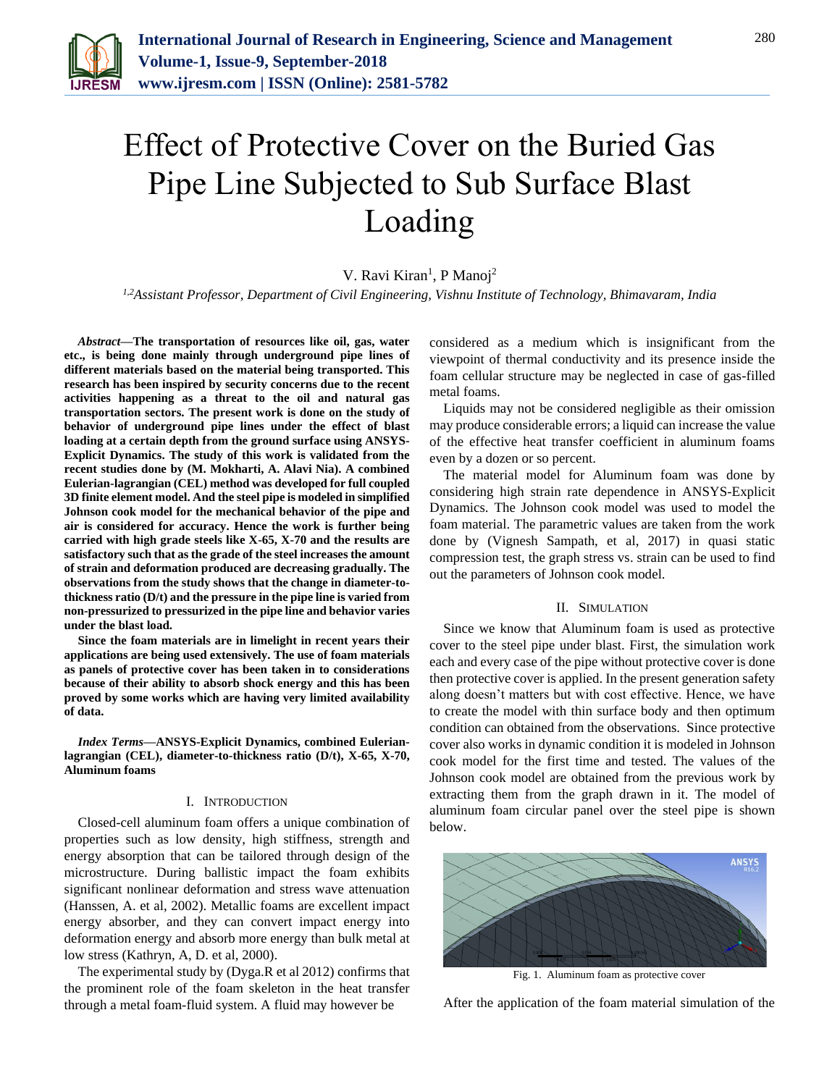

# Effect of Protective Cover on the Buried Gas Pipe Line Subjected to Sub Surface Blast Loading

V. Ravi Kiran<sup>1</sup>, P Manoj<sup>2</sup>

*1,2Assistant Professor, Department of Civil Engineering, Vishnu Institute of Technology, Bhimavaram, India*

*Abstract***—The transportation of resources like oil, gas, water etc., is being done mainly through underground pipe lines of different materials based on the material being transported. This research has been inspired by security concerns due to the recent activities happening as a threat to the oil and natural gas transportation sectors. The present work is done on the study of behavior of underground pipe lines under the effect of blast loading at a certain depth from the ground surface using ANSYS-Explicit Dynamics. The study of this work is validated from the recent studies done by (M. Mokharti, A. Alavi Nia). A combined Eulerian-lagrangian (CEL) method was developed for full coupled 3D finite element model. And the steel pipe is modeled in simplified Johnson cook model for the mechanical behavior of the pipe and air is considered for accuracy. Hence the work is further being carried with high grade steels like X-65, X-70 and the results are satisfactory such that as the grade of the steel increases the amount of strain and deformation produced are decreasing gradually. The observations from the study shows that the change in diameter-tothickness ratio (D/t) and the pressure in the pipe line is varied from non-pressurized to pressurized in the pipe line and behavior varies under the blast load.**

**Since the foam materials are in limelight in recent years their applications are being used extensively. The use of foam materials as panels of protective cover has been taken in to considerations because of their ability to absorb shock energy and this has been proved by some works which are having very limited availability of data.**

*Index Terms***—ANSYS-Explicit Dynamics, combined Eulerianlagrangian (CEL), diameter-to-thickness ratio (D/t), X-65, X-70, Aluminum foams**

## I. INTRODUCTION

Closed-cell aluminum foam offers a unique combination of properties such as low density, high stiffness, strength and energy absorption that can be tailored through design of the microstructure. During ballistic impact the foam exhibits significant nonlinear deformation and stress wave attenuation (Hanssen, A. et al, 2002). Metallic foams are excellent impact energy absorber, and they can convert impact energy into deformation energy and absorb more energy than bulk metal at low stress (Kathryn, A, D. et al, 2000).

The experimental study by (Dyga.R et al 2012) confirms that the prominent role of the foam skeleton in the heat transfer through a metal foam-fluid system. A fluid may however be

considered as a medium which is insignificant from the viewpoint of thermal conductivity and its presence inside the foam cellular structure may be neglected in case of gas-filled metal foams.

Liquids may not be considered negligible as their omission may produce considerable errors; a liquid can increase the value of the effective heat transfer coefficient in aluminum foams even by a dozen or so percent.

The material model for Aluminum foam was done by considering high strain rate dependence in ANSYS-Explicit Dynamics. The Johnson cook model was used to model the foam material. The parametric values are taken from the work done by (Vignesh Sampath, et al, 2017) in quasi static compression test, the graph stress vs. strain can be used to find out the parameters of Johnson cook model.

### II. SIMULATION

Since we know that Aluminum foam is used as protective cover to the steel pipe under blast. First, the simulation work each and every case of the pipe without protective cover is done then protective cover is applied. In the present generation safety along doesn't matters but with cost effective. Hence, we have to create the model with thin surface body and then optimum condition can obtained from the observations. Since protective cover also works in dynamic condition it is modeled in Johnson cook model for the first time and tested. The values of the Johnson cook model are obtained from the previous work by extracting them from the graph drawn in it. The model of aluminum foam circular panel over the steel pipe is shown below.



Fig. 1. Aluminum foam as protective cover

After the application of the foam material simulation of the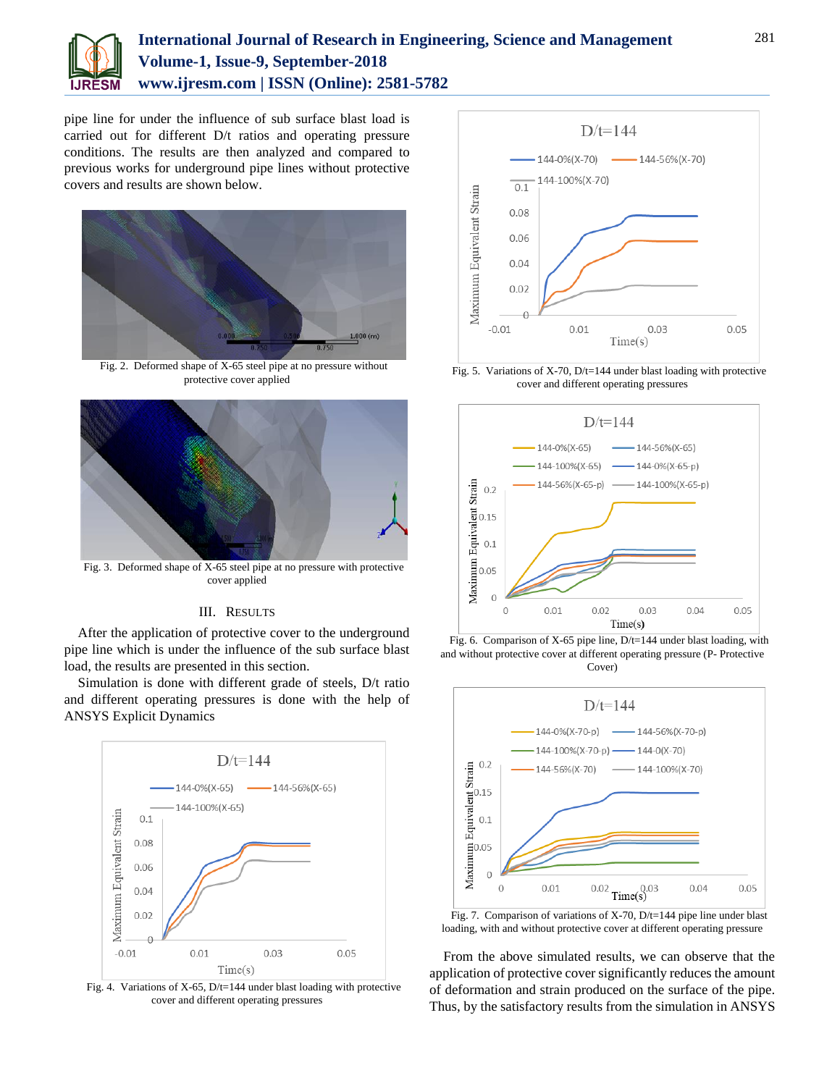

# **International Journal of Research in Engineering, Science and Management Volume-1, Issue-9, September-2018 www.ijresm.com | ISSN (Online): 2581-5782**

pipe line for under the influence of sub surface blast load is carried out for different D/t ratios and operating pressure conditions. The results are then analyzed and compared to previous works for underground pipe lines without protective covers and results are shown below.



Fig. 2. Deformed shape of X-65 steel pipe at no pressure without protective cover applied



Fig. 3. Deformed shape of X-65 steel pipe at no pressure with protective cover applied

## III. RESULTS

After the application of protective cover to the underground pipe line which is under the influence of the sub surface blast load, the results are presented in this section.

Simulation is done with different grade of steels, D/t ratio and different operating pressures is done with the help of ANSYS Explicit Dynamics



Fig. 4. Variations of X-65, D/t=144 under blast loading with protective cover and different operating pressures



Fig. 5. Variations of X-70, D/t=144 under blast loading with protective cover and different operating pressures



Fig. 6. Comparison of X-65 pipe line, D/t=144 under blast loading, with and without protective cover at different operating pressure (P- Protective Cover)



Fig. 7. Comparison of variations of X-70, D/t=144 pipe line under blast loading, with and without protective cover at different operating pressure

From the above simulated results, we can observe that the application of protective cover significantly reduces the amount of deformation and strain produced on the surface of the pipe. Thus, by the satisfactory results from the simulation in ANSYS